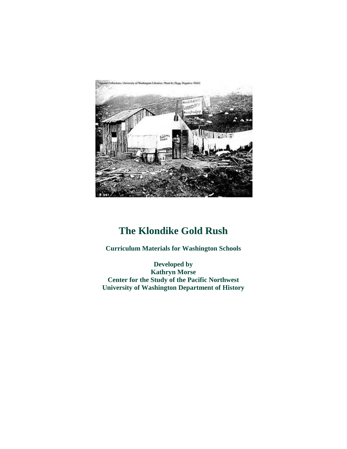

# **The Klondike Gold Rush**

**Curriculum Materials for Washington Schools**

**Developed by Kathryn Morse Center for the Study of the Pacific Northwest University of Washington Department of History**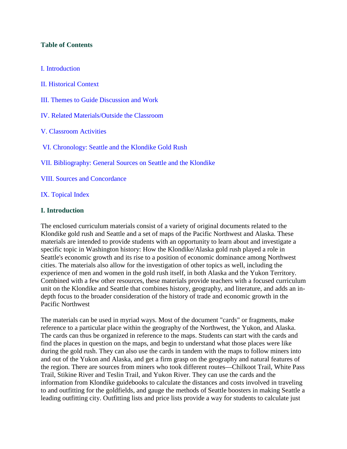### **Table of Contents**

#### I. Introduction

II. Historical Context

- III. Themes to Guide Discussion and Work
- IV. Related Materials/Outside the Classroom
- V. Classroom Activities
- VI. Chronology: Seattle and the Klondike Gold Rush
- VII. Bibliography: General Sources on Seattle and the Klondike
- VIII. Sources and Concordance
- IX. Topical Index

#### **I. Introduction**

The enclosed curriculum materials consist of a variety of original documents related to the Klondike gold rush and Seattle and a set of maps of the Pacific Northwest and Alaska. These materials are intended to provide students with an opportunity to learn about and investigate a specific topic in Washington history: How the Klondike/Alaska gold rush played a role in Seattle's economic growth and its rise to a position of economic dominance among Northwest cities. The materials also allow for the investigation of other topics as well, including the experience of men and women in the gold rush itself, in both Alaska and the Yukon Territory. Combined with a few other resources, these materials provide teachers with a focused curriculum unit on the Klondike and Seattle that combines history, geography, and literature, and adds an indepth focus to the broader consideration of the history of trade and economic growth in the Pacific Northwest

The materials can be used in myriad ways. Most of the document "cards" or fragments, make reference to a particular place within the geography of the Northwest, the Yukon, and Alaska. The cards can thus be organized in reference to the maps. Students can start with the cards and find the places in question on the maps, and begin to understand what those places were like during the gold rush. They can also use the cards in tandem with the maps to follow miners into and out of the Yukon and Alaska, and get a firm grasp on the geography and natural features of the region. There are sources from miners who took different routes—Chilkoot Trail, White Pass Trail, Stikine River and Teslin Trail, and Yukon River. They can use the cards and the information from Klondike guidebooks to calculate the distances and costs involved in traveling to and outfitting for the goldfields, and gauge the methods of Seattle boosters in making Seattle a leading outfitting city. Outfitting lists and price lists provide a way for students to calculate just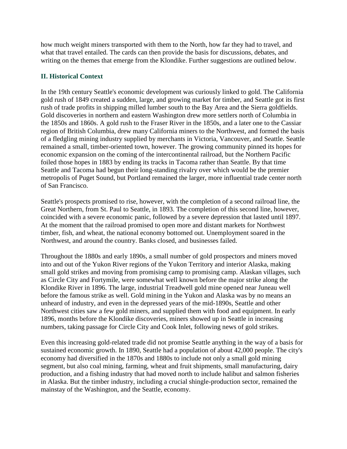how much weight miners transported with them to the North, how far they had to travel, and what that travel entailed. The cards can then provide the basis for discussions, debates, and writing on the themes that emerge from the Klondike. Further suggestions are outlined below.

## **II. Historical Context**

In the 19th century Seattle's economic development was curiously linked to gold. The California gold rush of 1849 created a sudden, large, and growing market for timber, and Seattle got its first rush of trade profits in shipping milled lumber south to the Bay Area and the Sierra goldfields. Gold discoveries in northern and eastern Washington drew more settlers north of Columbia in the 1850s and 1860s. A gold rush to the Fraser River in the 1850s, and a later one to the Cassiar region of British Columbia, drew many California miners to the Northwest, and formed the basis of a fledgling mining industry supplied by merchants in Victoria, Vancouver, and Seattle. Seattle remained a small, timber-oriented town, however. The growing community pinned its hopes for economic expansion on the coming of the intercontinental railroad, but the Northern Pacific foiled those hopes in 1883 by ending its tracks in Tacoma rather than Seattle. By that time Seattle and Tacoma had begun their long-standing rivalry over which would be the premier metropolis of Puget Sound, but Portland remained the larger, more influential trade center north of San Francisco.

Seattle's prospects promised to rise, however, with the completion of a second railroad line, the Great Northern, from St. Paul to Seattle, in 1893. The completion of this second line, however, coincided with a severe economic panic, followed by a severe depression that lasted until 1897. At the moment that the railroad promised to open more and distant markets for Northwest timber, fish, and wheat, the national economy bottomed out. Unemployment soared in the Northwest, and around the country. Banks closed, and businesses failed.

Throughout the 1880s and early 1890s, a small number of gold prospectors and miners moved into and out of the Yukon River regions of the Yukon Territory and interior Alaska, making small gold strikes and moving from promising camp to promising camp. Alaskan villages, such as Circle City and Fortymile, were somewhat well known before the major strike along the Klondike River in 1896. The large, industrial Treadwell gold mine opened near Juneau well before the famous strike as well. Gold mining in the Yukon and Alaska was by no means an unheard of industry, and even in the depressed years of the mid-1890s, Seattle and other Northwest cities saw a few gold miners, and supplied them with food and equipment. In early 1896, months before the Klondike discoveries, miners showed up in Seattle in increasing numbers, taking passage for Circle City and Cook Inlet, following news of gold strikes.

Even this increasing gold-related trade did not promise Seattle anything in the way of a basis for sustained economic growth. In 1890, Seattle had a population of about 42,000 people. The city's economy had diversified in the 1870s and 1880s to include not only a small gold mining segment, but also coal mining, farming, wheat and fruit shipments, small manufacturing, dairy production, and a fishing industry that had moved north to include halibut and salmon fisheries in Alaska. But the timber industry, including a crucial shingle-production sector, remained the mainstay of the Washington, and the Seattle, economy.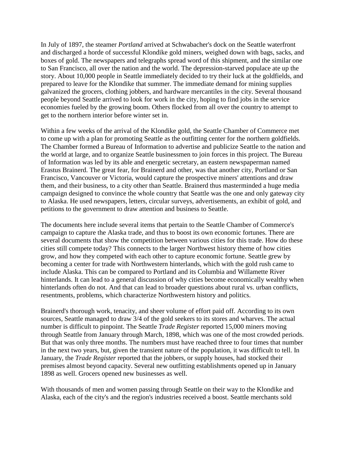In July of 1897, the steamer *Portland* arrived at Schwabacher's dock on the Seattle waterfront and discharged a horde of successful Klondike gold miners, weighed down with bags, sacks, and boxes of gold. The newspapers and telegraphs spread word of this shipment, and the similar one to San Francisco, all over the nation and the world. The depression-starved populace ate up the story. About 10,000 people in Seattle immediately decided to try their luck at the goldfields, and prepared to leave for the Klondike that summer. The immediate demand for mining supplies galvanized the grocers, clothing jobbers, and hardware mercantiles in the city. Several thousand people beyond Seattle arrived to look for work in the city, hoping to find jobs in the service economies fueled by the growing boom. Others flocked from all over the country to attempt to get to the northern interior before winter set in.

Within a few weeks of the arrival of the Klondike gold, the Seattle Chamber of Commerce met to come up with a plan for promoting Seattle as the outfitting center for the northern goldfields. The Chamber formed a Bureau of Information to advertise and publicize Seattle to the nation and the world at large, and to organize Seattle businessmen to join forces in this project. The Bureau of Information was led by its able and energetic secretary, an eastern newspaperman named Erastus Brainerd. The great fear, for Brainerd and other, was that another city, Portland or San Francisco, Vancouver or Victoria, would capture the prospective miners' attentions and draw them, and their business, to a city other than Seattle. Brainerd thus masterminded a huge media campaign designed to convince the whole country that Seattle was the one and only gateway city to Alaska. He used newspapers, letters, circular surveys, advertisements, an exhibit of gold, and petitions to the government to draw attention and business to Seattle.

The documents here include several items that pertain to the Seattle Chamber of Commerce's campaign to capture the Alaska trade, and thus to boost its own economic fortunes. There are several documents that show the competition between various cities for this trade. How do these cities still compete today? This connects to the larger Northwest history theme of how cities grow, and how they competed with each other to capture economic fortune. Seattle grew by becoming a center for trade with Northwestern hinterlands, which with the gold rush came to include Alaska. This can be compared to Portland and its Columbia and Willamette River hinterlands. It can lead to a general discussion of why cities become economically wealthy when hinterlands often do not. And that can lead to broader questions about rural vs. urban conflicts, resentments, problems, which characterize Northwestern history and politics.

Brainerd's thorough work, tenacity, and sheer volume of effort paid off. According to its own sources, Seattle managed to draw 3/4 of the gold seekers to its stores and wharves. The actual number is difficult to pinpoint. The Seattle *Trade Register* reported 15,000 miners moving through Seattle from January through March, 1898, which was one of the most crowded periods. But that was only three months. The numbers must have reached three to four times that number in the next two years, but, given the transient nature of the population, it was difficult to tell. In January, the *Trade Register* reported that the jobbers, or supply houses, had stocked their premises almost beyond capacity. Several new outfitting establishments opened up in January 1898 as well. Grocers opened new businesses as well.

With thousands of men and women passing through Seattle on their way to the Klondike and Alaska, each of the city's and the region's industries received a boost. Seattle merchants sold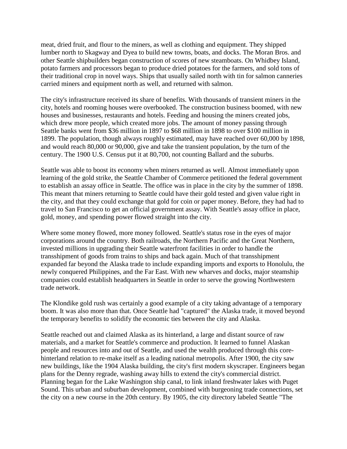meat, dried fruit, and flour to the miners, as well as clothing and equipment. They shipped lumber north to Skagway and Dyea to build new towns, boats, and docks. The Moran Bros. and other Seattle shipbuilders began construction of scores of new steamboats. On Whidbey Island, potato farmers and processors began to produce dried potatoes for the farmers, and sold tons of their traditional crop in novel ways. Ships that usually sailed north with tin for salmon canneries carried miners and equipment north as well, and returned with salmon.

The city's infrastructure received its share of benefits. With thousands of transient miners in the city, hotels and rooming houses were overbooked. The construction business boomed, with new houses and businesses, restaurants and hotels. Feeding and housing the miners created jobs, which drew more people, which created more jobs. The amount of money passing through Seattle banks went from \$36 million in 1897 to \$68 million in 1898 to over \$100 million in 1899. The population, though always roughly estimated, may have reached over 60,000 by 1898, and would reach 80,000 or 90,000, give and take the transient population, by the turn of the century. The 1900 U.S. Census put it at 80,700, not counting Ballard and the suburbs.

Seattle was able to boost its economy when miners returned as well. Almost immediately upon learning of the gold strike, the Seattle Chamber of Commerce petitioned the federal government to establish an assay office in Seattle. The office was in place in the city by the summer of 1898. This meant that miners returning to Seattle could have their gold tested and given value right in the city, and that they could exchange that gold for coin or paper money. Before, they had had to travel to San Francisco to get an official government assay. With Seattle's assay office in place, gold, money, and spending power flowed straight into the city.

Where some money flowed, more money followed. Seattle's status rose in the eyes of major corporations around the country. Both railroads, the Northern Pacific and the Great Northern, invested millions in upgrading their Seattle waterfront facilities in order to handle the transshipment of goods from trains to ships and back again. Much of that transshipment expanded far beyond the Alaska trade to include expanding imports and exports to Honolulu, the newly conquered Philippines, and the Far East. With new wharves and docks, major steamship companies could establish headquarters in Seattle in order to serve the growing Northwestern trade network.

The Klondike gold rush was certainly a good example of a city taking advantage of a temporary boom. It was also more than that. Once Seattle had "captured" the Alaska trade, it moved beyond the temporary benefits to solidify the economic ties between the city and Alaska.

Seattle reached out and claimed Alaska as its hinterland, a large and distant source of raw materials, and a market for Seattle's commerce and production. It learned to funnel Alaskan people and resources into and out of Seattle, and used the wealth produced through this corehinterland relation to re-make itself as a leading national metropolis. After 1900, the city saw new buildings, like the 1904 Alaska building, the city's first modern skyscraper. Engineers began plans for the Denny regrade, washing away hills to extend the city's commercial district. Planning began for the Lake Washington ship canal, to link inland freshwater lakes with Puget Sound. This urban and suburban development, combined with burgeoning trade connections, set the city on a new course in the 20th century. By 1905, the city directory labeled Seattle "The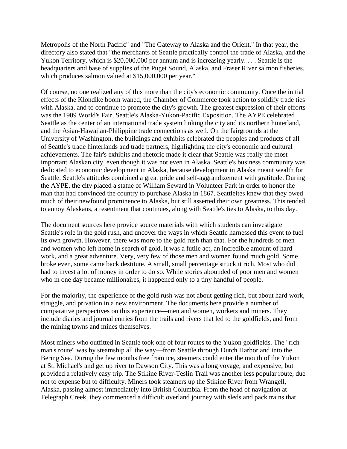Metropolis of the North Pacific" and "The Gateway to Alaska and the Orient." In that year, the directory also stated that "the merchants of Seattle practically control the trade of Alaska, and the Yukon Territory, which is \$20,000,000 per annum and is increasing yearly. . . . Seattle is the headquarters and base of supplies of the Puget Sound, Alaska, and Fraser River salmon fisheries, which produces salmon valued at \$15,000,000 per year."

Of course, no one realized any of this more than the city's economic community. Once the initial effects of the Klondike boom waned, the Chamber of Commerce took action to solidify trade ties with Alaska, and to continue to promote the city's growth. The greatest expression of their efforts was the 1909 World's Fair, Seattle's Alaska-Yukon-Pacific Exposition. The AYPE celebrated Seattle as the center of an international trade system linking the city and its northern hinterland, and the Asian-Hawaiian-Philippine trade connections as well. On the fairgrounds at the University of Washington, the buildings and exhibits celebrated the peoples and products of all of Seattle's trade hinterlands and trade partners, highlighting the city's economic and cultural achievements. The fair's exhibits and rhetoric made it clear that Seattle was really the most important Alaskan city, even though it was not even in Alaska. Seattle's business community was dedicated to economic development in Alaska, because development in Alaska meant wealth for Seattle. Seattle's attitudes combined a great pride and self-aggrandizement with gratitude. During the AYPE, the city placed a statue of William Seward in Volunteer Park in order to honor the man that had convinced the country to purchase Alaska in 1867. Seattleites knew that they owed much of their newfound prominence to Alaska, but still asserted their own greatness. This tended to annoy Alaskans, a resentment that continues, along with Seattle's ties to Alaska, to this day.

The document sources here provide source materials with which students can investigate Seattle's role in the gold rush, and uncover the ways in which Seattle harnessed this event to fuel its own growth. However, there was more to the gold rush than that. For the hundreds of men and women who left home in search of gold, it was a futile act, an incredible amount of hard work, and a great adventure. Very, very few of those men and women found much gold. Some broke even, some came back destitute. A small, small percentage struck it rich. Most who did had to invest a lot of money in order to do so. While stories abounded of poor men and women who in one day became millionaires, it happened only to a tiny handful of people.

For the majority, the experience of the gold rush was not about getting rich, but about hard work, struggle, and privation in a new environment. The documents here provide a number of comparative perspectives on this experience—men and women, workers and miners. They include diaries and journal entries from the trails and rivers that led to the goldfields, and from the mining towns and mines themselves.

Most miners who outfitted in Seattle took one of four routes to the Yukon goldfields. The "rich man's route" was by steamship all the way—from Seattle through Dutch Harbor and into the Bering Sea. During the few months free from ice, steamers could enter the mouth of the Yukon at St. Michael's and get up river to Dawson City. This was a long voyage, and expensive, but provided a relatively easy trip. The Stikine River-Teslin Trail was another less popular route, due not to expense but to difficulty. Miners took steamers up the Stikine River from Wrangell, Alaska, passing almost immediately into British Columbia. From the head of navigation at Telegraph Creek, they commenced a difficult overland journey with sleds and pack trains that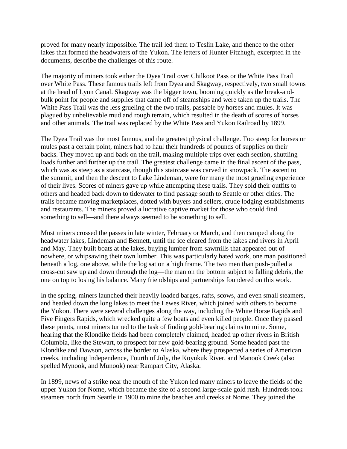proved for many nearly impossible. The trail led them to Teslin Lake, and thence to the other lakes that formed the headwaters of the Yukon. The letters of Hunter Fitzhugh, excerpted in the documents, describe the challenges of this route.

The majority of miners took either the Dyea Trail over Chilkoot Pass or the White Pass Trail over White Pass. These famous trails left from Dyea and Skagway, respectively, two small towns at the head of Lynn Canal. Skagway was the bigger town, booming quickly as the break-andbulk point for people and supplies that came off of steamships and were taken up the trails. The White Pass Trail was the less grueling of the two trails, passable by horses and mules. It was plagued by unbelievable mud and rough terrain, which resulted in the death of scores of horses and other animals. The trail was replaced by the White Pass and Yukon Railroad by 1899.

The Dyea Trail was the most famous, and the greatest physical challenge. Too steep for horses or mules past a certain point, miners had to haul their hundreds of pounds of supplies on their backs. They moved up and back on the trail, making multiple trips over each section, shuttling loads further and further up the trail. The greatest challenge came in the final ascent of the pass, which was as steep as a staircase, though this staircase was carved in snowpack. The ascent to the summit, and then the descent to Lake Lindeman, were for many the most grueling experience of their lives. Scores of miners gave up while attempting these trails. They sold their outfits to others and headed back down to tidewater to find passage south to Seattle or other cities. The trails became moving marketplaces, dotted with buyers and sellers, crude lodging establishments and restaurants. The miners proved a lucrative captive market for those who could find something to sell—and there always seemed to be something to sell.

Most miners crossed the passes in late winter, February or March, and then camped along the headwater lakes, Lindeman and Bennett, until the ice cleared from the lakes and rivers in April and May. They built boats at the lakes, buying lumber from sawmills that appeared out of nowhere, or whipsawing their own lumber. This was particularly hated work, one man positioned beneath a log, one above, while the log sat on a high frame. The two men than push-pulled a cross-cut saw up and down through the log—the man on the bottom subject to falling debris, the one on top to losing his balance. Many friendships and partnerships foundered on this work.

In the spring, miners launched their heavily loaded barges, rafts, scows, and even small steamers, and headed down the long lakes to meet the Lewes River, which joined with others to become the Yukon. There were several challenges along the way, including the White Horse Rapids and Five Fingers Rapids, which wrecked quite a few boats and even killed people. Once they passed these points, most miners turned to the task of finding gold-bearing claims to mine. Some, hearing that the Klondike fields had been completely claimed, headed up other rivers in British Columbia, like the Stewart, to prospect for new gold-bearing ground. Some headed past the Klondike and Dawson, across the border to Alaska, where they prospected a series of American creeks, including Independence, Fourth of July, the Koyukuk River, and Manook Creek (also spelled Mynook, and Munook) near Rampart City, Alaska.

In 1899, news of a strike near the mouth of the Yukon led many miners to leave the fields of the upper Yukon for Nome, which became the site of a second large-scale gold rush. Hundreds took steamers north from Seattle in 1900 to mine the beaches and creeks at Nome. They joined the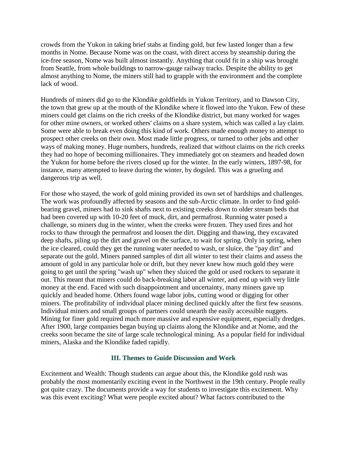crowds from the Yukon in taking brief stabs at finding gold, but few lasted longer than a few months in Nome. Because Nome was on the coast, with direct access by steamship during the ice-free season, Nome was built almost instantly. Anything that could fit in a ship was brought from Seattle, from whole buildings to narrow-gauge railway tracks. Despite the ability to get almost anything to Nome, the miners still had to grapple with the environment and the complete lack of wood.

Hundreds of miners did go to the Klondike goldfields in Yukon Territory, and to Dawson City, the town that grew up at the mouth of the Klondike where it flowed into the Yukon. Few of these miners could get claims on the rich creeks of the Klondike district, but many worked for wages for other mine owners, or worked others' claims on a share system, which was called a lay claim. Some were able to break even doing this kind of work. Others made enough money to attempt to prospect other creeks on their own. Most made little progress, or turned to other jobs and other ways of making money. Huge numbers, hundreds, realized that without claims on the rich creeks they had no hope of becoming millionaires. They immediately got on steamers and headed down the Yukon for home before the rivers closed up for the winter. In the early winters, 1897-98, for instance, many attempted to leave during the winter, by dogsled. This was a grueling and dangerous trip as well.

For those who stayed, the work of gold mining provided its own set of hardships and challenges. The work was profoundly affected by seasons and the sub-Arctic climate. In order to find goldbearing gravel, miners had to sink shafts next to existing creeks down to older stream beds that had been covered up with 10-20 feet of muck, dirt, and permafrost. Running water posed a challenge, so miners dug in the winter, when the creeks were frozen. They used fires and hot rocks to thaw through the permafrost and loosen the dirt. Digging and thawing, they excavated deep shafts, piling up the dirt and gravel on the surface, to wait for spring. Only in spring, when the ice cleared, could they get the running water needed to wash, or sluice, the "pay dirt" and separate out the gold. Miners panned samples of dirt all winter to test their claims and assess the amount of gold in any particular hole or drift, but they never knew how much gold they were going to get until the spring "wash up" when they sluiced the gold or used rockers to separate it out. This meant that miners could do back-breaking labor all winter, and end up with very little money at the end. Faced with such disappointment and uncertainty, many miners gave up quickly and headed home. Others found wage labor jobs, cutting wood or digging for other miners. The profitability of individual placer mining declined quickly after the first few seasons. Individual miners and small groups of partners could unearth the easily accessible nuggets. Mining for finer gold required much more massive and expensive equipment, especially dredges. After 1900, large companies began buying up claims along the Klondike and at Nome, and the creeks soon became the site of large scale technological mining. As a popular field for individual miners, Alaska and the Klondike faded rapidly.

#### **III. Themes to Guide Discussion and Work**

Excitement and Wealth: Though students can argue about this, the Klondike gold rush was probably the most momentarily exciting event in the Northwest in the 19th century. People really got quite crazy. The documents provide a way for students to investigate this excitement. Why was this event exciting? What were people excited about? What factors contributed to the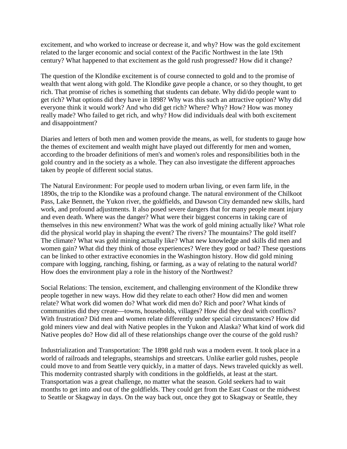excitement, and who worked to increase or decrease it, and why? How was the gold excitement related to the larger economic and social context of the Pacific Northwest in the late 19th century? What happened to that excitement as the gold rush progressed? How did it change?

The question of the Klondike excitement is of course connected to gold and to the promise of wealth that went along with gold. The Klondike gave people a chance, or so they thought, to get rich. That promise of riches is something that students can debate. Why did/do people want to get rich? What options did they have in 1898? Why was this such an attractive option? Why did everyone think it would work? And who did get rich? Where? Why? How? How was money really made? Who failed to get rich, and why? How did individuals deal with both excitement and disappointment?

Diaries and letters of both men and women provide the means, as well, for students to gauge how the themes of excitement and wealth might have played out differently for men and women, according to the broader definitions of men's and women's roles and responsibilities both in the gold country and in the society as a whole. They can also investigate the different approaches taken by people of different social status.

The Natural Environment: For people used to modern urban living, or even farm life, in the 1890s, the trip to the Klondike was a profound change. The natural environment of the Chilkoot Pass, Lake Bennett, the Yukon river, the goldfields, and Dawson City demanded new skills, hard work, and profound adjustments. It also posed severe dangers that for many people meant injury and even death. Where was the danger? What were their biggest concerns in taking care of themselves in this new environment? What was the work of gold mining actually like? What role did the physical world play in shaping the event? The rivers? The mountains? The gold itself? The climate? What was gold mining actually like? What new knowledge and skills did men and women gain? What did they think of those experiences? Were they good or bad? These questions can be linked to other extractive economies in the Washington history. How did gold mining compare with logging, ranching, fishing, or farming, as a way of relating to the natural world? How does the environment play a role in the history of the Northwest?

Social Relations: The tension, excitement, and challenging environment of the Klondike threw people together in new ways. How did they relate to each other? How did men and women relate? What work did women do? What work did men do? Rich and poor? What kinds of communities did they create—towns, households, villages? How did they deal with conflicts? With frustration? Did men and women relate differently under special circumstances? How did gold miners view and deal with Native peoples in the Yukon and Alaska? What kind of work did Native peoples do? How did all of these relationships change over the course of the gold rush?

Industrialization and Transportation: The 1898 gold rush was a modern event. It took place in a world of railroads and telegraphs, steamships and streetcars. Unlike earlier gold rushes, people could move to and from Seattle very quickly, in a matter of days. News traveled quickly as well. This modernity contrasted sharply with conditions in the goldfields, at least at the start. Transportation was a great challenge, no matter what the season. Gold seekers had to wait months to get into and out of the goldfields. They could get from the East Coast or the midwest to Seattle or Skagway in days. On the way back out, once they got to Skagway or Seattle, they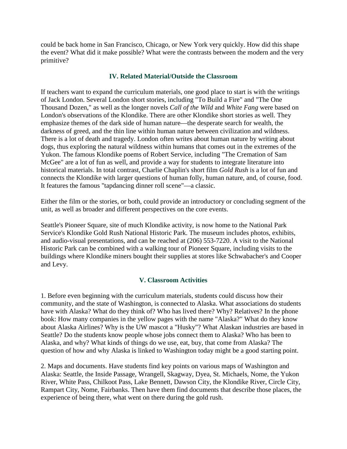could be back home in San Francisco, Chicago, or New York very quickly. How did this shape the event? What did it make possible? What were the contrasts between the modern and the very primitive?

#### **IV. Related Material/Outside the Classroom**

If teachers want to expand the curriculum materials, one good place to start is with the writings of Jack London. Several London short stories, including "To Build a Fire" and "The One Thousand Dozen," as well as the longer novels *Call of the Wild* and *White Fang* were based on London's observations of the Klondike. There are other Klondike short stories as well. They emphasize themes of the dark side of human nature—the desperate search for wealth, the darkness of greed, and the thin line within human nature between civilization and wildness. There is a lot of death and tragedy. London often writes about human nature by writing about dogs, thus exploring the natural wildness within humans that comes out in the extremes of the Yukon. The famous Klondike poems of Robert Service, including "The Cremation of Sam McGee" are a lot of fun as well, and provide a way for students to integrate literature into historical materials. In total contrast, Charlie Chaplin's short film *Gold Rush* is a lot of fun and connects the Klondike with larger questions of human folly, human nature, and, of course, food. It features the famous "tapdancing dinner roll scene"—a classic.

Either the film or the stories, or both, could provide an introductory or concluding segment of the unit, as well as broader and different perspectives on the core events.

Seattle's Pioneer Square, site of much Klondike activity, is now home to the National Park Service's Klondike Gold Rush National Historic Park. The museum includes photos, exhibits, and audio-visual presentations, and can be reached at (206) 553-7220. A visit to the National Historic Park can be combined with a walking tour of Pioneer Square, including visits to the buildings where Klondike miners bought their supplies at stores like Schwabacher's and Cooper and Levy.

### **V. Classroom Activities**

1. Before even beginning with the curriculum materials, students could discuss how their community, and the state of Washington, is connected to Alaska. What associations do students have with Alaska? What do they think of? Who has lived there? Why? Relatives? In the phone book: How many companies in the yellow pages with the name "Alaska?" What do they know about Alaska Airlines? Why is the UW mascot a "Husky"? What Alaskan industries are based in Seattle? Do the students know people whose jobs connect them to Alaska? Who has been to Alaska, and why? What kinds of things do we use, eat, buy, that come from Alaska? The question of how and why Alaska is linked to Washington today might be a good starting point.

2. Maps and documents. Have students find key points on various maps of Washington and Alaska: Seattle, the Inside Passage, Wrangell, Skagway, Dyea, St. Michaels, Nome, the Yukon River, White Pass, Chilkoot Pass, Lake Bennett, Dawson City, the Klondike River, Circle City, Rampart City, Nome, Fairbanks. Then have them find documents that describe those places, the experience of being there, what went on there during the gold rush.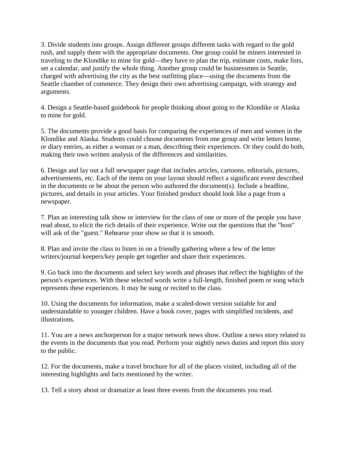3. Divide students into groups. Assign different groups different tasks with regard to the gold rush, and supply them with the appropriate documents. One group could be miners interested in traveling to the Klondike to mine for gold—they have to plan the trip, estimate costs, make lists, set a calendar, and justify the whole thing. Another group could be businessmen in Seattle, charged with advertising the city as the best outfitting place—using the documents from the Seattle chamber of commerce. They design their own advertising campaign, with strategy and arguments.

4. Design a Seattle-based guidebook for people thinking about going to the Klondike or Alaska to mine for gold.

5. The documents provide a good basis for comparing the experiences of men and women in the Klondike and Alaska. Students could choose documents from one group and write letters home, or diary entries, as either a woman or a man, describing their experiences. Or they could do both, making their own written analysis of the differences and similarities.

6. Design and lay out a full newspaper page that includes articles, cartoons, editorials, pictures, advertisements, etc. Each of the items on your layout should reflect a significant event described in the documents or be about the person who authored the document(s). Include a headline, pictures, and details in your articles. Your finished product should look like a page from a newspaper.

7. Plan an interesting talk show or interview for the class of one or more of the people you have read about, to elicit the rich details of their experience. Write out the questions that the "host" will ask of the "guest." Rehearse your show so that it is smooth.

8. Plan and invite the class to listen in on a friendly gathering where a few of the letter writers/journal keepers/key people get together and share their experiences.

9. Go back into the documents and select key words and phrases that reflect the highlights of the person's experiences. With these selected words write a full-length, finished poem or song which represents these experiences. It may be sung or recited to the class.

10. Using the documents for information, make a scaled-down version suitable for and understandable to younger children. Have a book cover, pages with simplified incidents, and illustrations.

11. You are a news anchorperson for a major network news show. Outline a news story related to the events in the documents that you read. Perform your nightly news duties and report this story to the public.

12. For the documents, make a travel brochure for all of the places visited, including all of the interesting highlights and facts mentioned by the writer.

13. Tell a story about or dramatize at least three events from the documents you read.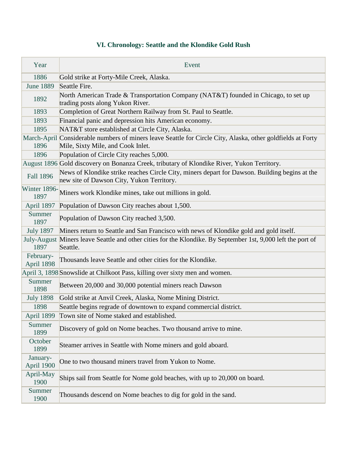# **VI. Chronology: Seattle and the Klondike Gold Rush**

| Year                    | Event                                                                                                                                            |
|-------------------------|--------------------------------------------------------------------------------------------------------------------------------------------------|
| 1886                    | Gold strike at Forty-Mile Creek, Alaska.                                                                                                         |
| <b>June 1889</b>        | Seattle Fire.                                                                                                                                    |
| 1892                    | North American Trade & Transportation Company (NAT&T) founded in Chicago, to set up<br>trading posts along Yukon River.                          |
| 1893                    | Completion of Great Northern Railway from St. Paul to Seattle.                                                                                   |
| 1893                    | Financial panic and depression hits American economy.                                                                                            |
| 1895                    | NAT&T store established at Circle City, Alaska.                                                                                                  |
| 1896                    | March-April Considerable numbers of miners leave Seattle for Circle City, Alaska, other goldfields at Forty<br>Mile, Sixty Mile, and Cook Inlet. |
| 1896                    | Population of Circle City reaches 5,000.                                                                                                         |
|                         | August 1896 Gold discovery on Bonanza Creek, tributary of Klondike River, Yukon Territory.                                                       |
| <b>Fall 1896</b>        | News of Klondike strike reaches Circle City, miners depart for Dawson. Building begins at the<br>new site of Dawson City, Yukon Territory.       |
| Winter 1896-<br>1897    | Miners work Klondike mines, take out millions in gold.                                                                                           |
| April 1897              | Population of Dawson City reaches about 1,500.                                                                                                   |
| Summer<br>1897          | Population of Dawson City reached 3,500.                                                                                                         |
| <b>July 1897</b>        | Miners return to Seattle and San Francisco with news of Klondike gold and gold itself.                                                           |
| 1897                    | July-August Miners leave Seattle and other cities for the Klondike. By September 1st, 9,000 left the port of<br>Seattle.                         |
| February-<br>April 1898 | Thousands leave Seattle and other cities for the Klondike.                                                                                       |
|                         | April 3, 1898 Snowslide at Chilkoot Pass, killing over sixty men and women.                                                                      |
| Summer<br>1898          | Between 20,000 and 30,000 potential miners reach Dawson                                                                                          |
| <b>July 1898</b>        | Gold strike at Anvil Creek, Alaska, Nome Mining District.                                                                                        |
| 1898                    | Seattle begins regrade of downtown to expand commercial district.                                                                                |
| April 1899              | Town site of Nome staked and established.                                                                                                        |
| Summer<br>1899          | Discovery of gold on Nome beaches. Two thousand arrive to mine.                                                                                  |
| October<br>1899         | Steamer arrives in Seattle with Nome miners and gold aboard.                                                                                     |
| January-<br>April 1900  | One to two thousand miners travel from Yukon to Nome.                                                                                            |
| April-May<br>1900       | Ships sail from Seattle for Nome gold beaches, with up to 20,000 on board.                                                                       |
| Summer<br>1900          | Thousands descend on Nome beaches to dig for gold in the sand.                                                                                   |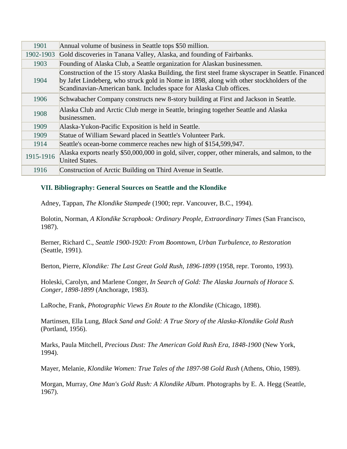| 1901      | Annual volume of business in Seattle tops \$50 million.                                                                                                                                                                                                                 |
|-----------|-------------------------------------------------------------------------------------------------------------------------------------------------------------------------------------------------------------------------------------------------------------------------|
| 1902-1903 | Gold discoveries in Tanana Valley, Alaska, and founding of Fairbanks.                                                                                                                                                                                                   |
| 1903      | Founding of Alaska Club, a Seattle organization for Alaskan businessmen.                                                                                                                                                                                                |
| 1904      | Construction of the 15 story Alaska Building, the first steel frame skyscraper in Seattle. Financed<br>by Jafet Lindeberg, who struck gold in Nome in 1898, along with other stockholders of the<br>Scandinavian-American bank. Includes space for Alaska Club offices. |
| 1906      | Schwabacher Company constructs new 8-story building at First and Jackson in Seattle.                                                                                                                                                                                    |
| 1908      | Alaska Club and Arctic Club merge in Seattle, bringing together Seattle and Alaska<br>businessmen.                                                                                                                                                                      |
| 1909      | Alaska-Yukon-Pacific Exposition is held in Seattle.                                                                                                                                                                                                                     |
| 1909      | Statue of William Seward placed in Seattle's Volunteer Park.                                                                                                                                                                                                            |
| 1914      | Seattle's ocean-borne commerce reaches new high of \$154,599,947.                                                                                                                                                                                                       |
| 1915-1916 | Alaska exports nearly \$50,000,000 in gold, silver, copper, other minerals, and salmon, to the<br><b>United States.</b>                                                                                                                                                 |
| 1916      | Construction of Arctic Building on Third Avenue in Seattle.                                                                                                                                                                                                             |

### **VII. Bibliography: General Sources on Seattle and the Klondike**

Adney, Tappan, *The Klondike Stampede* (1900; repr. Vancouver, B.C., 1994).

Bolotin, Norman, *A Klondike Scrapbook: Ordinary People, Extraordinary Times* (San Francisco, 1987).

Berner, Richard C., *Seattle 1900-1920: From Boomtown, Urban Turbulence, to Restoration* (Seattle, 1991).

Berton, Pierre, *Klondike: The Last Great Gold Rush, 1896-1899* (1958, repr. Toronto, 1993).

Holeski, Carolyn, and Marlene Conger, *In Search of Gold: The Alaska Journals of Horace S. Conger, 1898-1899* (Anchorage, 1983).

LaRoche, Frank, *Photographic Views En Route to the Klondike* (Chicago, 1898).

Martinsen, Ella Lung, *Black Sand and Gold: A True Story of the Alaska-Klondike Gold Rush* (Portland, 1956).

Marks, Paula Mitchell, *Precious Dust: The American Gold Rush Era, 1848-1900* (New York, 1994).

Mayer, Melanie, *Klondike Women: True Tales of the 1897-98 Gold Rush* (Athens, Ohio, 1989).

Morgan, Murray, *One Man's Gold Rush: A Klondike Album*. Photographs by E. A. Hegg (Seattle, 1967).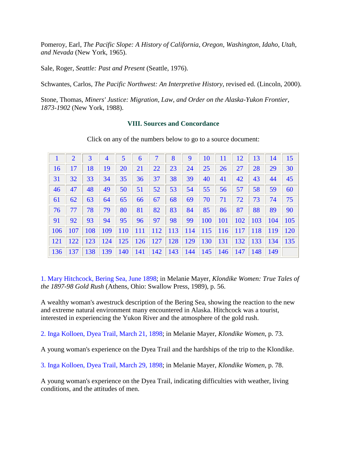Pomeroy, Earl, *The Pacific Slope: A History of California, Oregon, Washington, Idaho, Utah, and Nevada* (New York, 1965).

Sale, Roger, *Seattle: Past and Present* (Seattle, 1976).

Schwantes, Carlos, *The Pacific Northwest: An Interpretive History*, revised ed. (Lincoln, 2000).

Stone, Thomas, *Miners' Justice: Migration, Law, and Order on the Alaska-Yukon Frontier, 1873-1902* (New York, 1988).

#### **VIII. Sources and Concordance**

|            | 2   | 3   | 4   | 5          | 6          |            | 8   | 9   | 10         | 11         | 12         | 13  | 14         | 15         |
|------------|-----|-----|-----|------------|------------|------------|-----|-----|------------|------------|------------|-----|------------|------------|
| <b>16</b>  | 17  | 18  | 19  | 20         | 21         | 22         | 23  | 24  | 25         | 26         | 27         | 28  | 29         | 30         |
| 31         | 32  | 33  | 34  | 35         | 36         | 37         | 38  | 39  | 40         | 41         | 42         | 43  | 44         | 45         |
| 46         | 47  | 48  | 49  | 50         | 51         | 52         | 53  | 54  | 55         | 56         | 57         | 58  | 59         | 60         |
| 61         | 62  | 63  | 64  | 65         | 66         | 67         | 68  | 69  | 70         | 71         | 72         | 73  | 74         | 75         |
| 76         | 77  | 78  | 79  | 80         | 81         | 82         | 83  | 84  | 85         | 86         | 87         | 88  | 89         | 90         |
| 91         | 92  | 93  | 94  | 95         | 96         | 97         | 98  | 99  | 100        | 101        | 102        | 103 | 104        | 105        |
| <b>106</b> | 107 | 108 | 109 | <b>110</b> | <b>111</b> | <b>112</b> | 113 | 114 | <b>115</b> | <b>116</b> | <b>117</b> | 118 | <b>119</b> | <b>120</b> |
| <b>121</b> | 122 | 123 | 124 | <b>125</b> | <b>126</b> | <b>127</b> | 128 | 129 | 130        | 131        | 132        | 133 | 134        | 135        |
| 136        | 137 | 138 | 139 | 140        | 141        | 142        | 143 | 144 | 145        | <b>146</b> | 147        | 148 | 149        |            |

Click on any of the numbers below to go to a source document:

1. Mary Hitchcock, Bering Sea, June 1898; in Melanie Mayer, *Klondike Women: True Tales of the 1897-98 Gold Rush* (Athens, Ohio: Swallow Press, 1989), p. 56.

A wealthy woman's awestruck description of the Bering Sea, showing the reaction to the new and extreme natural environment many encountered in Alaska. Hitchcock was a tourist, interested in experiencing the Yukon River and the atmosphere of the gold rush.

2. Inga Kolloen, Dyea Trail, March 21, 1898; in Melanie Mayer, *Klondike Women*, p. 73.

A young woman's experience on the Dyea Trail and the hardships of the trip to the Klondike.

3. Inga Kolloen, Dyea Trail, March 29, 1898; in Melanie Mayer, *Klondike Women*, p. 78.

A young woman's experience on the Dyea Trail, indicating difficulties with weather, living conditions, and the attitudes of men.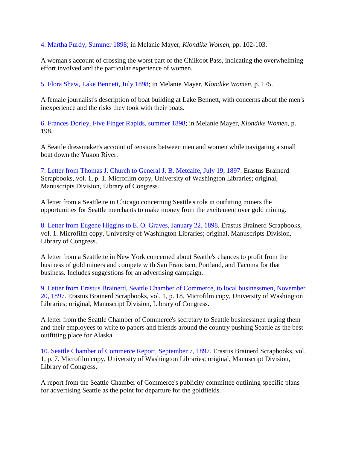4. Martha Purdy, Summer 1898; in Melanie Mayer, *Klondike Women*, pp. 102-103.

A woman's account of crossing the worst part of the Chilkoot Pass, indicating the overwhelming effort involved and the particular experience of women.

5. Flora Shaw, Lake Bennett, July 1898; in Melanie Mayer, *Klondike Women*, p. 175.

A female journalist's description of boat building at Lake Bennett, with concerns about the men's inexperience and the risks they took with their boats.

6. Frances Dorley, Five Finger Rapids, summer 1898; in Melanie Mayer, *Klondike Women*, p. 198.

A Seattle dressmaker's account of tensions between men and women while navigating a small boat down the Yukon River.

7. Letter from Thomas J. Church to General J. B. Metcalfe, July 19, 1897. Erastus Brainerd Scrapbooks, vol. 1, p. 1. Microfilm copy, University of Washington Libraries; original, Manuscripts Division, Library of Congress.

A letter from a Seattleite in Chicago concerning Seattle's role in outfitting miners the opportunities for Seattle merchants to make money from the excitement over gold mining.

8. Letter from Eugene Higgins to E. O. Graves, January 22, 1898. Erastus Brainerd Scrapbooks, vol. 1. Microfilm copy, University of Washington Libraries; original, Manuscripts Division, Library of Congress.

A letter from a Seattleite in New York concerned about Seattle's chances to profit from the business of gold miners and compete with San Francisco, Portland, and Tacoma for that business. Includes suggestions for an advertising campaign.

9. Letter from Erastus Brainerd, Seattle Chamber of Commerce, to local businessmen, November 20, 1897. Erastus Brainerd Scrapbooks, vol. 1, p. 18. Microfilm copy, University of Washington Libraries; original, Manuscript Division, Library of Congress.

A letter from the Seattle Chamber of Commerce's secretary to Seattle businessmen urging them and their employees to write to papers and friends around the country pushing Seattle as the best outfitting place for Alaska.

10. Seattle Chamber of Commerce Report, September 7, 1897. Erastus Brainerd Scrapbooks, vol. 1, p. 7. Microfilm copy, University of Washington Libraries; original, Manuscript Division, Library of Congress.

A report from the Seattle Chamber of Commerce's publicity committee outlining specific plans for advertising Seattle as the point for departure for the goldfields.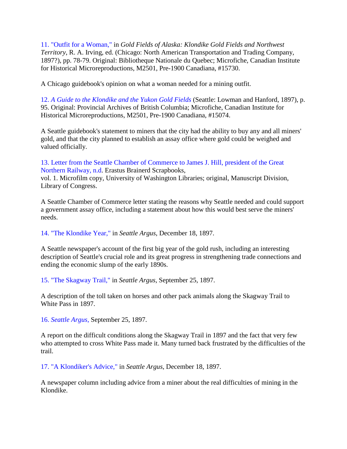11. "Outfit for a Woman," in *Gold Fields of Alaska: Klondike Gold Fields and Northwest Territory*, R. A. Irving, ed. (Chicago: North American Transportation and Trading Company, 1897?), pp. 78-79. Original: Bibliotheque Nationale du Quebec; Microfiche, Canadian Institute for Historical Microreproductions, M2501, Pre-1900 Canadiana, #15730.

A Chicago guidebook's opinion on what a woman needed for a mining outfit.

12. *A Guide to the Klondike and the Yukon Gold Fields* (Seattle: Lowman and Hanford, 1897), p. 95. Original: Provincial Archives of British Columbia; Microfiche, Canadian Institute for Historical Microreproductions, M2501, Pre-1900 Canadiana, #15074.

A Seattle guidebook's statement to miners that the city had the ability to buy any and all miners' gold, and that the city planned to establish an assay office where gold could be weighed and valued officially.

13. Letter from the Seattle Chamber of Commerce to James J. Hill, president of the Great Northern Railway, n.d. Erastus Brainerd Scrapbooks,

vol. 1. Microfilm copy, University of Washington Libraries; original, Manuscript Division, Library of Congress.

A Seattle Chamber of Commerce letter stating the reasons why Seattle needed and could support a government assay office, including a statement about how this would best serve the miners' needs.

14. "The Klondike Year," in *Seattle Argus*, December 18, 1897.

A Seattle newspaper's account of the first big year of the gold rush, including an interesting description of Seattle's crucial role and its great progress in strengthening trade connections and ending the economic slump of the early 1890s.

15. "The Skagway Trail," in *Seattle Argus*, September 25, 1897.

A description of the toll taken on horses and other pack animals along the Skagway Trail to White Pass in 1897.

16. *Seattle Argus*, September 25, 1897.

A report on the difficult conditions along the Skagway Trail in 1897 and the fact that very few who attempted to cross White Pass made it. Many turned back frustrated by the difficulties of the trail.

17. "A Klondiker's Advice," in *Seattle Argus*, December 18, 1897.

A newspaper column including advice from a miner about the real difficulties of mining in the Klondike.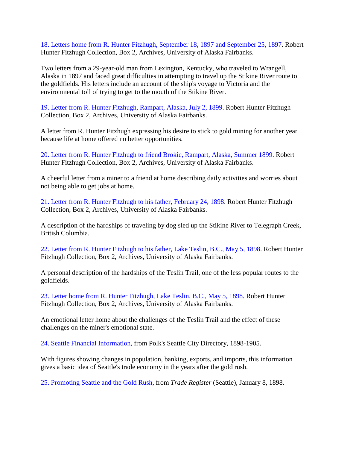18. Letters home from R. Hunter Fitzhugh, September 18, 1897 and September 25, 1897. Robert Hunter Fitzhugh Collection, Box 2, Archives, University of Alaska Fairbanks.

Two letters from a 29-year-old man from Lexington, Kentucky, who traveled to Wrangell, Alaska in 1897 and faced great difficulties in attempting to travel up the Stikine River route to the goldfields. His letters include an account of the ship's voyage to Victoria and the environmental toll of trying to get to the mouth of the Stikine River.

19. Letter from R. Hunter Fitzhugh, Rampart, Alaska, July 2, 1899. Robert Hunter Fitzhugh Collection, Box 2, Archives, University of Alaska Fairbanks.

A letter from R. Hunter Fitzhugh expressing his desire to stick to gold mining for another year because life at home offered no better opportunities.

20. Letter from R. Hunter Fitzhugh to friend Brokie, Rampart, Alaska, Summer 1899. Robert Hunter Fitzhugh Collection, Box 2, Archives, University of Alaska Fairbanks.

A cheerful letter from a miner to a friend at home describing daily activities and worries about not being able to get jobs at home.

21. Letter from R. Hunter Fitzhugh to his father, February 24, 1898. Robert Hunter Fitzhugh Collection, Box 2, Archives, University of Alaska Fairbanks.

A description of the hardships of traveling by dog sled up the Stikine River to Telegraph Creek, British Columbia.

22. Letter from R. Hunter Fitzhugh to his father, Lake Teslin, B.C., May 5, 1898. Robert Hunter Fitzhugh Collection, Box 2, Archives, University of Alaska Fairbanks.

A personal description of the hardships of the Teslin Trail, one of the less popular routes to the goldfields.

23. Letter home from R. Hunter Fitzhugh, Lake Teslin, B.C., May 5, 1898. Robert Hunter Fitzhugh Collection, Box 2, Archives, University of Alaska Fairbanks.

An emotional letter home about the challenges of the Teslin Trail and the effect of these challenges on the miner's emotional state.

24. Seattle Financial Information, from Polk's Seattle City Directory, 1898-1905.

With figures showing changes in population, banking, exports, and imports, this information gives a basic idea of Seattle's trade economy in the years after the gold rush.

25. Promoting Seattle and the Gold Rush, from *Trade Register* (Seattle), January 8, 1898.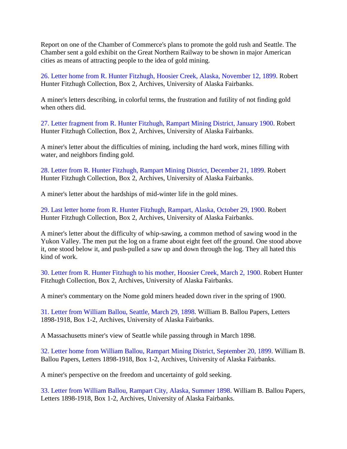Report on one of the Chamber of Commerce's plans to promote the gold rush and Seattle. The Chamber sent a gold exhibit on the Great Northern Railway to be shown in major American cities as means of attracting people to the idea of gold mining.

26. Letter home from R. Hunter Fitzhugh, Hoosier Creek, Alaska, November 12, 1899. Robert Hunter Fitzhugh Collection, Box 2, Archives, University of Alaska Fairbanks.

A miner's letters describing, in colorful terms, the frustration and futility of not finding gold when others did.

27. Letter fragment from R. Hunter Fitzhugh, Rampart Mining District, January 1900. Robert Hunter Fitzhugh Collection, Box 2, Archives, University of Alaska Fairbanks.

A miner's letter about the difficulties of mining, including the hard work, mines filling with water, and neighbors finding gold.

28. Letter from R. Hunter Fitzhugh, Rampart Mining District, December 21, 1899. Robert Hunter Fitzhugh Collection, Box 2, Archives, University of Alaska Fairbanks.

A miner's letter about the hardships of mid-winter life in the gold mines.

29. Last letter home from R. Hunter Fitzhugh, Rampart, Alaska, October 29, 1900. Robert Hunter Fitzhugh Collection, Box 2, Archives, University of Alaska Fairbanks.

A miner's letter about the difficulty of whip-sawing, a common method of sawing wood in the Yukon Valley. The men put the log on a frame about eight feet off the ground. One stood above it, one stood below it, and push-pulled a saw up and down through the log. They all hated this kind of work.

30. Letter from R. Hunter Fitzhugh to his mother, Hoosier Creek, March 2, 1900. Robert Hunter Fitzhugh Collection, Box 2, Archives, University of Alaska Fairbanks.

A miner's commentary on the Nome gold miners headed down river in the spring of 1900.

31. Letter from William Ballou, Seattle, March 29, 1898. William B. Ballou Papers, Letters 1898-1918, Box 1-2, Archives, University of Alaska Fairbanks.

A Massachusetts miner's view of Seattle while passing through in March 1898.

32. Letter home from William Ballou, Rampart Mining District, September 20, 1899. William B. Ballou Papers, Letters 1898-1918, Box 1-2, Archives, University of Alaska Fairbanks.

A miner's perspective on the freedom and uncertainty of gold seeking.

33. Letter from William Ballou, Rampart City, Alaska, Summer 1898. William B. Ballou Papers, Letters 1898-1918, Box 1-2, Archives, University of Alaska Fairbanks.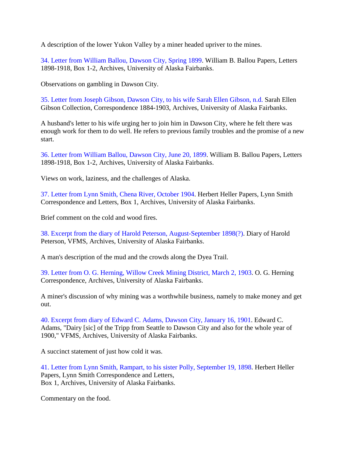A description of the lower Yukon Valley by a miner headed upriver to the mines.

34. Letter from William Ballou, Dawson City, Spring 1899. William B. Ballou Papers, Letters 1898-1918, Box 1-2, Archives, University of Alaska Fairbanks.

Observations on gambling in Dawson City.

35. Letter from Joseph Gibson, Dawson City, to his wife Sarah Ellen Gibson, n.d. Sarah Ellen Gibson Collection, Correspondence 1884-1903, Archives, University of Alaska Fairbanks.

A husband's letter to his wife urging her to join him in Dawson City, where he felt there was enough work for them to do well. He refers to previous family troubles and the promise of a new start.

36. Letter from William Ballou, Dawson City, June 20, 1899. William B. Ballou Papers, Letters 1898-1918, Box 1-2, Archives, University of Alaska Fairbanks.

Views on work, laziness, and the challenges of Alaska.

37. Letter from Lynn Smith, Chena River, October 1904. Herbert Heller Papers, Lynn Smith Correspondence and Letters, Box 1, Archives, University of Alaska Fairbanks.

Brief comment on the cold and wood fires.

38. Excerpt from the diary of Harold Peterson, August-September 1898(?). Diary of Harold Peterson, VFMS, Archives, University of Alaska Fairbanks.

A man's description of the mud and the crowds along the Dyea Trail.

39. Letter from O. G. Herning, Willow Creek Mining District, March 2, 1903. O. G. Herning Correspondence, Archives, University of Alaska Fairbanks.

A miner's discussion of why mining was a worthwhile business, namely to make money and get out.

40. Excerpt from diary of Edward C. Adams, Dawson City, January 16, 1901. Edward C. Adams, "Dairy [sic] of the Tripp from Seattle to Dawson City and also for the whole year of 1900," VFMS, Archives, University of Alaska Fairbanks.

A succinct statement of just how cold it was.

41. Letter from Lynn Smith, Rampart, to his sister Polly, September 19, 1898. Herbert Heller Papers, Lynn Smith Correspondence and Letters, Box 1, Archives, University of Alaska Fairbanks.

Commentary on the food.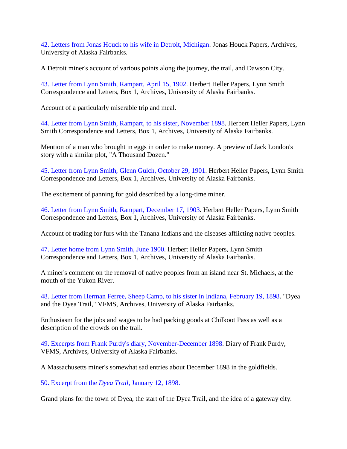42. Letters from Jonas Houck to his wife in Detroit, Michigan. Jonas Houck Papers, Archives, University of Alaska Fairbanks.

A Detroit miner's account of various points along the journey, the trail, and Dawson City.

43. Letter from Lynn Smith, Rampart, April 15, 1902. Herbert Heller Papers, Lynn Smith Correspondence and Letters, Box 1, Archives, University of Alaska Fairbanks.

Account of a particularly miserable trip and meal.

44. Letter from Lynn Smith, Rampart, to his sister, November 1898. Herbert Heller Papers, Lynn Smith Correspondence and Letters, Box 1, Archives, University of Alaska Fairbanks.

Mention of a man who brought in eggs in order to make money. A preview of Jack London's story with a similar plot, "A Thousand Dozen."

45. Letter from Lynn Smith, Glenn Gulch, October 29, 1901. Herbert Heller Papers, Lynn Smith Correspondence and Letters, Box 1, Archives, University of Alaska Fairbanks.

The excitement of panning for gold described by a long-time miner.

46. Letter from Lynn Smith, Rampart, December 17, 1903. Herbert Heller Papers, Lynn Smith Correspondence and Letters, Box 1, Archives, University of Alaska Fairbanks.

Account of trading for furs with the Tanana Indians and the diseases afflicting native peoples.

47. Letter home from Lynn Smith, June 1900. Herbert Heller Papers, Lynn Smith Correspondence and Letters, Box 1, Archives, University of Alaska Fairbanks.

A miner's comment on the removal of native peoples from an island near St. Michaels, at the mouth of the Yukon River.

48. Letter from Herman Ferree, Sheep Camp, to his sister in Indiana, February 19, 1898. "Dyea and the Dyea Trail," VFMS, Archives, University of Alaska Fairbanks.

Enthusiasm for the jobs and wages to be had packing goods at Chilkoot Pass as well as a description of the crowds on the trail.

49. Excerpts from Frank Purdy's diary, November-December 1898. Diary of Frank Purdy, VFMS, Archives, University of Alaska Fairbanks.

A Massachusetts miner's somewhat sad entries about December 1898 in the goldfields.

50. Excerpt from the *Dyea Trail*, January 12, 1898.

Grand plans for the town of Dyea, the start of the Dyea Trail, and the idea of a gateway city.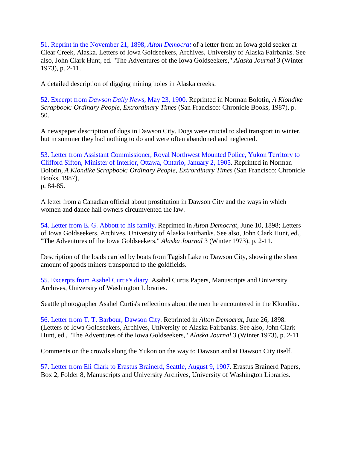51. Reprint in the November 21, 1898, *Alton Democrat* of a letter from an Iowa gold seeker at Clear Creek, Alaska. Letters of Iowa Goldseekers, Archives, University of Alaska Fairbanks. See also, John Clark Hunt, ed. "The Adventures of the Iowa Goldseekers," *Alaska Journal* 3 (Winter 1973), p. 2-11.

A detailed description of digging mining holes in Alaska creeks.

52. Excerpt from *Dawson Daily News*, May 23, 1900. Reprinted in Norman Bolotin, *A Klondike Scrapbook: Ordinary People, Extrordinary Times* (San Francisco: Chronicle Books, 1987), p. 50.

A newspaper description of dogs in Dawson City. Dogs were crucial to sled transport in winter, but in summer they had nothing to do and were often abandoned and neglected.

53. Letter from Assistant Commissioner, Royal Northwest Mounted Police, Yukon Territory to Clifford Sifton, Minister of Interior, Ottawa, Ontario, January 2, 1905. Reprinted in Norman Bolotin, *A Klondike Scrapbook: Ordinary People, Extrordinary Times* (San Francisco: Chronicle Books, 1987), p. 84-85.

A letter from a Canadian official about prostitution in Dawson City and the ways in which women and dance hall owners circumvented the law.

54. Letter from E. G. Abbott to his family. Reprinted in *Alton Democrat,* June 10, 1898; Letters of Iowa Goldseekers, Archives, University of Alaska Fairbanks. See also, John Clark Hunt, ed., "The Adventures of the Iowa Goldseekers," *Alaska Journal* 3 (Winter 1973), p. 2-11.

Description of the loads carried by boats from Tagish Lake to Dawson City, showing the sheer amount of goods miners transported to the goldfields.

55. Excerpts from Asahel Curtis's diary. Asahel Curtis Papers, Manuscripts and University Archives, University of Washington Libraries.

Seattle photographer Asahel Curtis's reflections about the men he encountered in the Klondike.

56. Letter from T. T. Barbour, Dawson City. Reprinted in *Alton Democrat,* June 26, 1898. (Letters of Iowa Goldseekers, Archives, University of Alaska Fairbanks. See also, John Clark Hunt, ed., "The Adventures of the Iowa Goldseekers," *Alaska Journal* 3 (Winter 1973), p. 2-11.

Comments on the crowds along the Yukon on the way to Dawson and at Dawson City itself.

57. Letter from Eli Clark to Erastus Brainerd, Seattle, August 9, 1907. Erastus Brainerd Papers, Box 2, Folder 8, Manuscripts and University Archives, University of Washington Libraries.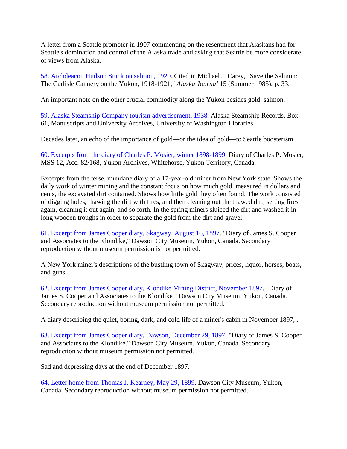A letter from a Seattle promoter in 1907 commenting on the resentment that Alaskans had for Seattle's domination and control of the Alaska trade and asking that Seattle be more considerate of views from Alaska.

58. Archdeacon Hudson Stuck on salmon, 1920. Cited in Michael J. Carey, "Save the Salmon: The Carlisle Cannery on the Yukon, 1918-1921," *Alaska Journal* 15 (Summer 1985), p. 33.

An important note on the other crucial commodity along the Yukon besides gold: salmon.

59. Alaska Steamship Company tourism advertisement, 1938. Alaska Steamship Records, Box 61, Manuscripts and University Archives, University of Washington Libraries.

Decades later, an echo of the importance of gold—or the idea of gold—to Seattle boosterism.

60. Excerpts from the diary of Charles P. Mosier, winter 1898-1899. Diary of Charles P. Mosier, MSS 12, Acc. 82/168, Yukon Archives, Whitehorse, Yukon Territory, Canada.

Excerpts from the terse, mundane diary of a 17-year-old miner from New York state. Shows the daily work of winter mining and the constant focus on how much gold, measured in dollars and cents, the excavated dirt contained. Shows how little gold they often found. The work consisted of digging holes, thawing the dirt with fires, and then cleaning out the thawed dirt, setting fires again, cleaning it out again, and so forth. In the spring miners sluiced the dirt and washed it in long wooden troughs in order to separate the gold from the dirt and gravel.

61. Excerpt from James Cooper diary, Skagway, August 16, 1897. "Diary of James S. Cooper and Associates to the Klondike," Dawson City Museum, Yukon, Canada. Secondary reproduction without museum permission is not permitted.

A New York miner's descriptions of the bustling town of Skagway, prices, liquor, horses, boats, and guns.

62. Excerpt from James Cooper diary, Klondike Mining District, November 1897. "Diary of James S. Cooper and Associates to the Klondike." Dawson City Museum, Yukon, Canada. Secondary reproduction without museum permission not permitted.

A diary describing the quiet, boring, dark, and cold life of a miner's cabin in November 1897, .

63. Excerpt from James Cooper diary, Dawson, December 29, 1897. "Diary of James S. Cooper and Associates to the Klondike." Dawson City Museum, Yukon, Canada. Secondary reproduction without museum permission not permitted.

Sad and depressing days at the end of December 1897.

64. Letter home from Thomas J. Kearney, May 29, 1899. Dawson City Museum, Yukon, Canada. Secondary reproduction without museum permission not permitted.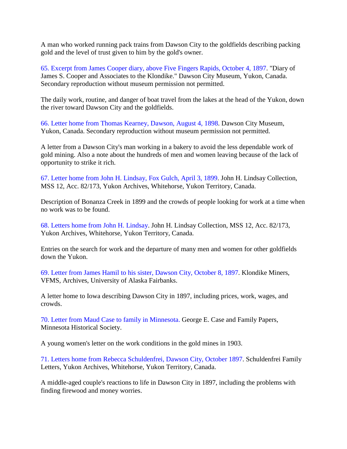A man who worked running pack trains from Dawson City to the goldfields describing packing gold and the level of trust given to him by the gold's owner.

65. Excerpt from James Cooper diary, above Five Fingers Rapids, October 4, 1897. "Diary of James S. Cooper and Associates to the Klondike." Dawson City Museum, Yukon, Canada. Secondary reproduction without museum permission not permitted.

The daily work, routine, and danger of boat travel from the lakes at the head of the Yukon, down the river toward Dawson City and the goldfields.

66. Letter home from Thomas Kearney, Dawson, August 4, 1898. Dawson City Museum, Yukon, Canada. Secondary reproduction without museum permission not permitted.

A letter from a Dawson City's man working in a bakery to avoid the less dependable work of gold mining. Also a note about the hundreds of men and women leaving because of the lack of opportunity to strike it rich.

67. Letter home from John H. Lindsay, Fox Gulch, April 3, 1899. John H. Lindsay Collection, MSS 12, Acc. 82/173, Yukon Archives, Whitehorse, Yukon Territory, Canada.

Description of Bonanza Creek in 1899 and the crowds of people looking for work at a time when no work was to be found.

68. Letters home from John H. Lindsay. John H. Lindsay Collection, MSS 12, Acc. 82/173, Yukon Archives, Whitehorse, Yukon Territory, Canada.

Entries on the search for work and the departure of many men and women for other goldfields down the Yukon.

69. Letter from James Hamil to his sister, Dawson City, October 8, 1897. Klondike Miners, VFMS, Archives, University of Alaska Fairbanks.

A letter home to Iowa describing Dawson City in 1897, including prices, work, wages, and crowds.

70. Letter from Maud Case to family in Minnesota. George E. Case and Family Papers, Minnesota Historical Society.

A young women's letter on the work conditions in the gold mines in 1903.

71. Letters home from Rebecca Schuldenfrei, Dawson City, October 1897. Schuldenfrei Family Letters, Yukon Archives, Whitehorse, Yukon Territory, Canada.

A middle-aged couple's reactions to life in Dawson City in 1897, including the problems with finding firewood and money worries.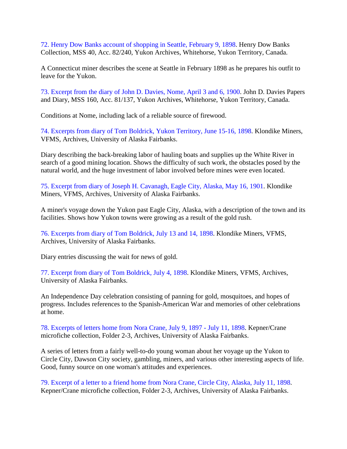72. Henry Dow Banks account of shopping in Seattle, February 9, 1898. Henry Dow Banks Collection, MSS 40, Acc. 82/240, Yukon Archives, Whitehorse, Yukon Territory, Canada.

A Connecticut miner describes the scene at Seattle in February 1898 as he prepares his outfit to leave for the Yukon.

73. Excerpt from the diary of John D. Davies, Nome, April 3 and 6, 1900. John D. Davies Papers and Diary, MSS 160, Acc. 81/137, Yukon Archives, Whitehorse, Yukon Territory, Canada.

Conditions at Nome, including lack of a reliable source of firewood.

74. Excerpts from diary of Tom Boldrick, Yukon Territory, June 15-16, 1898. Klondike Miners, VFMS, Archives, University of Alaska Fairbanks.

Diary describing the back-breaking labor of hauling boats and supplies up the White River in search of a good mining location. Shows the difficulty of such work, the obstacles posed by the natural world, and the huge investment of labor involved before mines were even located.

75. Excerpt from diary of Joseph H. Cavanagh, Eagle City, Alaska, May 16, 1901. Klondike Miners, VFMS, Archives, University of Alaska Fairbanks.

A miner's voyage down the Yukon past Eagle City, Alaska, with a description of the town and its facilities. Shows how Yukon towns were growing as a result of the gold rush.

76. Excerpts from diary of Tom Boldrick, July 13 and 14, 1898. Klondike Miners, VFMS, Archives, University of Alaska Fairbanks.

Diary entries discussing the wait for news of gold.

77. Excerpt from diary of Tom Boldrick, July 4, 1898. Klondike Miners, VFMS, Archives, University of Alaska Fairbanks.

An Independence Day celebration consisting of panning for gold, mosquitoes, and hopes of progress. Includes references to the Spanish-American War and memories of other celebrations at home.

78. Excerpts of letters home from Nora Crane, July 9, 1897 - July 11, 1898. Kepner/Crane microfiche collection, Folder 2-3, Archives, University of Alaska Fairbanks.

A series of letters from a fairly well-to-do young woman about her voyage up the Yukon to Circle City, Dawson City society, gambling, miners, and various other interesting aspects of life. Good, funny source on one woman's attitudes and experiences.

79. Excerpt of a letter to a friend home from Nora Crane, Circle City, Alaska, July 11, 1898. Kepner/Crane microfiche collection, Folder 2-3, Archives, University of Alaska Fairbanks.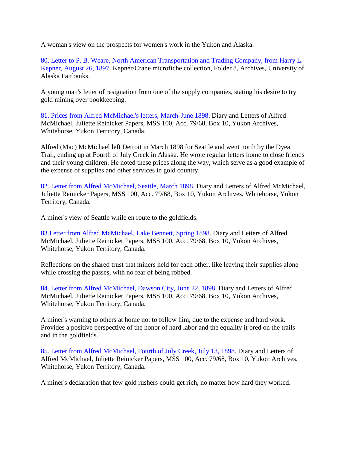A woman's view on the prospects for women's work in the Yukon and Alaska.

80. Letter to P. B. Weare, North American Transportation and Trading Company, from Harry L. Kepner, August 26, 1897. Kepner/Crane microfiche collection, Folder 8, Archives, University of Alaska Fairbanks.

A young man's letter of resignation from one of the supply companies, stating his desire to try gold mining over bookkeeping.

81. Prices from Alfred McMichael's letters, March-June 1898. Diary and Letters of Alfred McMichael, Juliette Reinicker Papers, MSS 100, Acc. 79/68, Box 10, Yukon Archives, Whitehorse, Yukon Territory, Canada.

Alfred (Mac) McMichael left Detroit in March 1898 for Seattle and went north by the Dyea Trail, ending up at Fourth of July Creek in Alaska. He wrote regular letters home to close friends and their young children. He noted these prices along the way, which serve as a good example of the expense of supplies and other services in gold country.

82. Letter from Alfred McMichael, Seattle, March 1898. Diary and Letters of Alfred McMichael, Juliette Reinicker Papers, MSS 100, Acc. 79/68, Box 10, Yukon Archives, Whitehorse, Yukon Territory, Canada.

A miner's view of Seattle while en route to the goldfields.

83.Letter from Alfred McMichael, Lake Bennett, Spring 1898. Diary and Letters of Alfred McMichael, Juliette Reinicker Papers, MSS 100, Acc. 79/68, Box 10, Yukon Archives, Whitehorse, Yukon Territory, Canada.

Reflections on the shared trust that miners held for each other, like leaving their supplies alone while crossing the passes, with no fear of being robbed.

84. Letter from Alfred McMichael, Dawson City, June 22, 1898. Diary and Letters of Alfred McMichael, Juliette Reinicker Papers, MSS 100, Acc. 79/68, Box 10, Yukon Archives, Whitehorse, Yukon Territory, Canada.

A miner's warning to others at home not to follow him, due to the expense and hard work. Provides a positive perspective of the honor of hard labor and the equality it bred on the trails and in the goldfields.

85. Letter from Alfred McMichael, Fourth of July Creek, July 13, 1898. Diary and Letters of Alfred McMichael, Juliette Reinicker Papers, MSS 100, Acc. 79/68, Box 10, Yukon Archives, Whitehorse, Yukon Territory, Canada.

A miner's declaration that few gold rushers could get rich, no matter how hard they worked.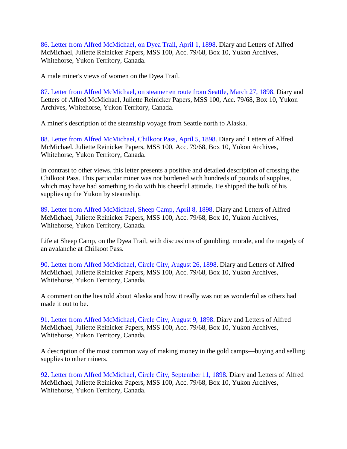86. Letter from Alfred McMichael, on Dyea Trail, April 1, 1898. Diary and Letters of Alfred McMichael, Juliette Reinicker Papers, MSS 100, Acc. 79/68, Box 10, Yukon Archives, Whitehorse, Yukon Territory, Canada.

A male miner's views of women on the Dyea Trail.

87. Letter from Alfred McMichael, on steamer en route from Seattle, March 27, 1898. Diary and Letters of Alfred McMichael, Juliette Reinicker Papers, MSS 100, Acc. 79/68, Box 10, Yukon Archives, Whitehorse, Yukon Territory, Canada.

A miner's description of the steamship voyage from Seattle north to Alaska.

88. Letter from Alfred McMichael, Chilkoot Pass, April 5, 1898. Diary and Letters of Alfred McMichael, Juliette Reinicker Papers, MSS 100, Acc. 79/68, Box 10, Yukon Archives, Whitehorse, Yukon Territory, Canada.

In contrast to other views, this letter presents a positive and detailed description of crossing the Chilkoot Pass. This particular miner was not burdened with hundreds of pounds of supplies, which may have had something to do with his cheerful attitude. He shipped the bulk of his supplies up the Yukon by steamship.

89. Letter from Alfred McMichael, Sheep Camp, April 8, 1898. Diary and Letters of Alfred McMichael, Juliette Reinicker Papers, MSS 100, Acc. 79/68, Box 10, Yukon Archives, Whitehorse, Yukon Territory, Canada.

Life at Sheep Camp, on the Dyea Trail, with discussions of gambling, morale, and the tragedy of an avalanche at Chilkoot Pass.

90. Letter from Alfred McMichael, Circle City, August 26, 1898. Diary and Letters of Alfred McMichael, Juliette Reinicker Papers, MSS 100, Acc. 79/68, Box 10, Yukon Archives, Whitehorse, Yukon Territory, Canada.

A comment on the lies told about Alaska and how it really was not as wonderful as others had made it out to be.

91. Letter from Alfred McMichael, Circle City, August 9, 1898. Diary and Letters of Alfred McMichael, Juliette Reinicker Papers, MSS 100, Acc. 79/68, Box 10, Yukon Archives, Whitehorse, Yukon Territory, Canada.

A description of the most common way of making money in the gold camps—buying and selling supplies to other miners.

92. Letter from Alfred McMichael, Circle City, September 11, 1898. Diary and Letters of Alfred McMichael, Juliette Reinicker Papers, MSS 100, Acc. 79/68, Box 10, Yukon Archives, Whitehorse, Yukon Territory, Canada.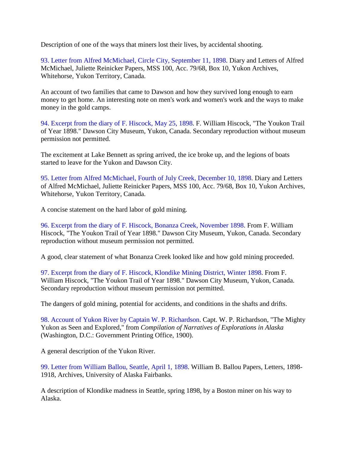Description of one of the ways that miners lost their lives, by accidental shooting.

93. Letter from Alfred McMichael, Circle City, September 11, 1898. Diary and Letters of Alfred McMichael, Juliette Reinicker Papers, MSS 100, Acc. 79/68, Box 10, Yukon Archives, Whitehorse, Yukon Territory, Canada.

An account of two families that came to Dawson and how they survived long enough to earn money to get home. An interesting note on men's work and women's work and the ways to make money in the gold camps.

94. Excerpt from the diary of F. Hiscock, May 25, 1898. F. William Hiscock, "The Youkon Trail of Year 1898." Dawson City Museum, Yukon, Canada. Secondary reproduction without museum permission not permitted.

The excitement at Lake Bennett as spring arrived, the ice broke up, and the legions of boats started to leave for the Yukon and Dawson City.

95. Letter from Alfred McMichael, Fourth of July Creek, December 10, 1898. Diary and Letters of Alfred McMichael, Juliette Reinicker Papers, MSS 100, Acc. 79/68, Box 10, Yukon Archives, Whitehorse, Yukon Territory, Canada.

A concise statement on the hard labor of gold mining.

96. Excerpt from the diary of F. Hiscock, Bonanza Creek, November 1898. From F. William Hiscock, "The Youkon Trail of Year 1898." Dawson City Museum, Yukon, Canada. Secondary reproduction without museum permission not permitted.

A good, clear statement of what Bonanza Creek looked like and how gold mining proceeded.

97. Excerpt from the diary of F. Hiscock, Klondike Mining District, Winter 1898. From F. William Hiscock, "The Youkon Trail of Year 1898." Dawson City Museum, Yukon, Canada. Secondary reproduction without museum permission not permitted.

The dangers of gold mining, potential for accidents, and conditions in the shafts and drifts.

98. Account of Yukon River by Captain W. P. Richardson. Capt. W. P. Richardson, "The Mighty Yukon as Seen and Explored," from *Compilation of Narratives of Explorations in Alaska* (Washington, D.C.: Government Printing Office, 1900).

A general description of the Yukon River.

99. Letter from William Ballou, Seattle, April 1, 1898. William B. Ballou Papers, Letters, 1898- 1918, Archives, University of Alaska Fairbanks.

A description of Klondike madness in Seattle, spring 1898, by a Boston miner on his way to Alaska.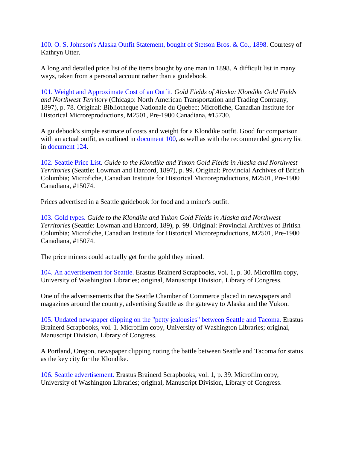100. O. S. Johnson's Alaska Outfit Statement, bought of Stetson Bros. & Co., 1898. Courtesy of Kathryn Utter.

A long and detailed price list of the items bought by one man in 1898. A difficult list in many ways, taken from a personal account rather than a guidebook.

101. Weight and Approximate Cost of an Outfit. *Gold Fields of Alaska: Klondike Gold Fields and Northwest Territory* (Chicago: North American Transportation and Trading Company, 1897), p. 78. Original: Bibliotheque Nationale du Quebec; Microfiche, Canadian Institute for Historical Microreproductions, M2501, Pre-1900 Canadiana, #15730.

A guidebook's simple estimate of costs and weight for a Klondike outfit. Good for comparison with an actual outfit, as outlined in document 100, as well as with the recommended grocery list in document 124.

102. Seattle Price List. *Guide to the Klondike and Yukon Gold Fields in Alaska and Northwest Territories* (Seattle: Lowman and Hanford, 1897), p. 99. Original: Provincial Archives of British Columbia; Microfiche, Canadian Institute for Historical Microreproductions, M2501, Pre-1900 Canadiana, #15074.

Prices advertised in a Seattle guidebook for food and a miner's outfit.

103. Gold types. *Guide to the Klondike and Yukon Gold Fields in Alaska and Northwest Territories* (Seattle: Lowman and Hanford, 189), p. 99. Original: Provincial Archives of British Columbia; Microfiche, Canadian Institute for Historical Microreproductions, M2501, Pre-1900 Canadiana, #15074.

The price miners could actually get for the gold they mined.

104. An advertisement for Seattle. Erastus Brainerd Scrapbooks, vol. 1, p. 30. Microfilm copy, University of Washington Libraries; original, Manuscript Division, Library of Congress.

One of the advertisements that the Seattle Chamber of Commerce placed in newspapers and magazines around the country, advertising Seattle as the gateway to Alaska and the Yukon.

105. Undated newspaper clipping on the "petty jealousies" between Seattle and Tacoma. Erastus Brainerd Scrapbooks, vol. 1. Microfilm copy, University of Washington Libraries; original, Manuscript Division, Library of Congress.

A Portland, Oregon, newspaper clipping noting the battle between Seattle and Tacoma for status as the key city for the Klondike.

106. Seattle advertisement. Erastus Brainerd Scrapbooks, vol. 1, p. 39. Microfilm copy, University of Washington Libraries; original, Manuscript Division, Library of Congress.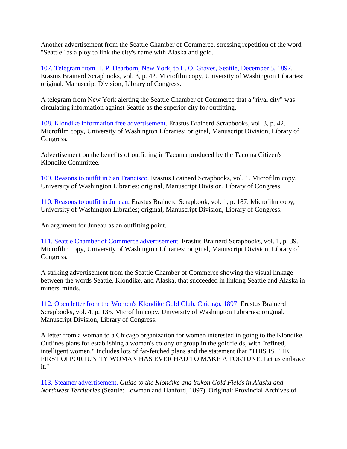Another advertisement from the Seattle Chamber of Commerce, stressing repetition of the word "Seattle" as a ploy to link the city's name with Alaska and gold.

107. Telegram from H. P. Dearborn, New York, to E. O. Graves, Seattle, December 5, 1897. Erastus Brainerd Scrapbooks, vol. 3, p. 42. Microfilm copy, University of Washington Libraries; original, Manuscript Division, Library of Congress.

A telegram from New York alerting the Seattle Chamber of Commerce that a "rival city" was circulating information against Seattle as the superior city for outfitting.

108. Klondike information free advertisement. Erastus Brainerd Scrapbooks, vol. 3, p. 42. Microfilm copy, University of Washington Libraries; original, Manuscript Division, Library of Congress.

Advertisement on the benefits of outfitting in Tacoma produced by the Tacoma Citizen's Klondike Committee.

109. Reasons to outfit in San Francisco. Erastus Brainerd Scrapbooks, vol. 1. Microfilm copy, University of Washington Libraries; original, Manuscript Division, Library of Congress.

110. Reasons to outfit in Juneau. Erastus Brainerd Scrapbook, vol. 1, p. 187. Microfilm copy, University of Washington Libraries; original, Manuscript Division, Library of Congress.

An argument for Juneau as an outfitting point.

111. Seattle Chamber of Commerce advertisement. Erastus Brainerd Scrapbooks, vol. 1, p. 39. Microfilm copy, University of Washington Libraries; original, Manuscript Division, Library of Congress.

A striking advertisement from the Seattle Chamber of Commerce showing the visual linkage between the words Seattle, Klondike, and Alaska, that succeeded in linking Seattle and Alaska in miners' minds.

112. Open letter from the Women's Klondike Gold Club, Chicago, 1897. Erastus Brainerd Scrapbooks, vol. 4, p. 135. Microfilm copy, University of Washington Libraries; original, Manuscript Division, Library of Congress.

A letter from a woman to a Chicago organization for women interested in going to the Klondike. Outlines plans for establishing a woman's colony or group in the goldfields, with "refined, intelligent women." Includes lots of far-fetched plans and the statement that "THIS IS THE FIRST OPPORTUNITY WOMAN HAS EVER HAD TO MAKE A FORTUNE. Let us embrace it."

113. Steamer advertisement. *Guide to the Klondike and Yukon Gold Fields in Alaska and Northwest Territories* (Seattle: Lowman and Hanford, 1897). Original: Provincial Archives of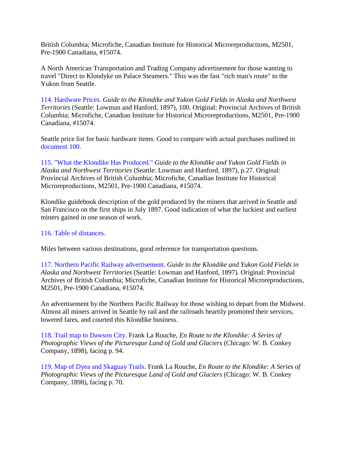British Columbia; Microfiche, Canadian Institute for Historical Microreproductions, M2501, Pre-1900 Canadiana, #15074.

A North American Transportation and Trading Company advertisement for those wanting to travel "Direct to Klondyke on Palace Steamers." This was the fast "rich man's route" to the Yukon from Seattle.

114. Hardware Prices*. Guide to the Klondike and Yukon Gold Fields in Alaska and Northwest Territories* (Seattle: Lowman and Hanford, 1897), 100. Original: Provincial Archives of British Columbia; Microfiche, Canadian Institute for Historical Microreproductions, M2501, Pre-1900 Canadiana, #15074.

Seattle price list for basic hardware items. Good to compare with actual purchases outlined in document 100.

115. "What the Klondike Has Produced." *Guide to the Klondike and Yukon Gold Fields in Alaska and Northwest Territories* (Seattle: Lowman and Hanford, 1897), p.27. Original: Provincial Archives of British Columbia; Microfiche, Canadian Institute for Historical Microreproductions, M2501, Pre-1900 Canadiana, #15074.

Klondike guidebook description of the gold produced by the miners that arrived in Seattle and San Francisco on the first ships in July 1897. Good indication of what the luckiest and earliest miners gained in one season of work.

#### 116. Table of distances.

Miles between various destinations, good reference for transportation questions.

117. Northern Pacific Railway advertisement. *Guide to the Klondike and Yukon Gold Fields in Alaska and Northwest Territories* (Seattle: Lowman and Hanford, 1897). Original: Provincial Archives of British Columbia; Microfiche, Canadian Institute for Historical Microreproductions, M2501, Pre-1900 Canadiana, #15074.

An advertisement by the Northern Pacific Railway for those wishing to depart from the Midwest. Almost all miners arrived in Seattle by rail and the railroads heartily promoted their services, lowered fares, and courted this Klondike business.

118. Trail map to Dawson City. Frank La Rouche, *En Route to the Klondike: A Series of Photographic Views of the Picturesque Land of Gold and Glaciers* (Chicago: W. B. Conkey Company, 1898), facing p. 94.

119. Map of Dyea and Skaguay Trails. Frank La Rouche, *En Route to the Klondike: A Series of Photographic Views of the Picturesque Land of Gold and Glaciers* (Chicago: W. B. Conkey Company, 1898), facing p. 70.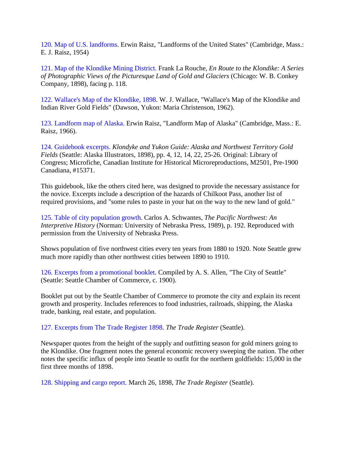120. Map of U.S. landforms. Erwin Raisz, "Landforms of the United States" (Cambridge, Mass.: E. J. Raisz, 1954)

121. Map of the Klondike Mining District. Frank La Rouche, *En Route to the Klondike: A Series of Photographic Views of the Picturesque Land of Gold and Glaciers* (Chicago: W. B. Conkey Company, 1898), facing p. 118.

122. Wallace's Map of the Klondike, 1898. W. J. Wallace, "Wallace's Map of the Klondike and Indian River Gold Fields" (Dawson, Yukon: Maria Christenson, 1962).

123. Landform map of Alaska. Erwin Raisz, "Landform Map of Alaska" (Cambridge, Mass.: E. Raisz, 1966).

124. Guidebook excerpts. *Klondyke and Yukon Guide: Alaska and Northwest Territory Gold Fields* (Seattle: Alaska Illustrators, 1898), pp. 4, 12, 14, 22, 25-26. Original: Library of Congress; Microfiche, Canadian Institute for Historical Microreproductions, M2501, Pre-1900 Canadiana, #15371.

This guidebook, like the others cited here, was designed to provide the necessary assistance for the novice. Excerpts include a description of the hazards of Chilkoot Pass, another list of required provisions, and "some rules to paste in your hat on the way to the new land of gold."

125. Table of city population growth. Carlos A. Schwantes, *The Pacific Northwest: An Interpretive History* (Norman: University of Nebraska Press, 1989), p. 192. Reproduced with permission from the University of Nebraska Press.

Shows population of five northwest cities every ten years from 1880 to 1920. Note Seattle grew much more rapidly than other northwest cities between 1890 to 1910.

126. Excerpts from a promotional booklet. Compiled by A. S. Allen, "The City of Seattle" (Seattle: Seattle Chamber of Commerce, c. 1900).

Booklet put out by the Seattle Chamber of Commerce to promote the city and explain its recent growth and prosperity. Includes references to food industries, railroads, shipping, the Alaska trade, banking, real estate, and population.

127. Excerpts from The Trade Register 1898. *The Trade Register* (Seattle).

Newspaper quotes from the height of the supply and outfitting season for gold miners going to the Klondike. One fragment notes the general economic recovery sweeping the nation. The other notes the specific influx of people into Seattle to outfit for the northern goldfields: 15,000 in the first three months of 1898.

128. Shipping and cargo report. March 26, 1898, *The Trade Register* (Seattle).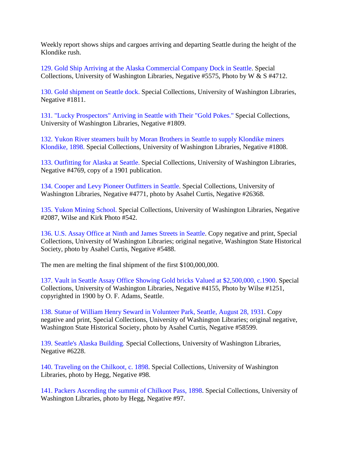Weekly report shows ships and cargoes arriving and departing Seattle during the height of the Klondike rush.

129. Gold Ship Arriving at the Alaska Commercial Company Dock in Seattle. Special Collections, University of Washington Libraries, Negative #5575, Photo by W & S #4712.

130. Gold shipment on Seattle dock. Special Collections, University of Washington Libraries, Negative #1811.

131. "Lucky Prospectors" Arriving in Seattle with Their "Gold Pokes." Special Collections, University of Washington Libraries, Negative #1809.

132. Yukon River steamers built by Moran Brothers in Seattle to supply Klondike miners Klondike, 1898. Special Collections, University of Washington Libraries, Negative #1808.

133. Outfitting for Alaska at Seattle. Special Collections, University of Washington Libraries, Negative #4769, copy of a 1901 publication.

134. Cooper and Levy Pioneer Outfitters in Seattle. Special Collections, University of Washington Libraries, Negative #4771, photo by Asahel Curtis, Negative #26368.

135. Yukon Mining School. Special Collections, University of Washington Libraries, Negative #2087, Wilse and Kirk Photo #542.

136. U.S. Assay Office at Ninth and James Streets in Seattle. Copy negative and print, Special Collections, University of Washington Libraries; original negative, Washington State Historical Society, photo by Asahel Curtis, Negative #5488.

The men are melting the final shipment of the first \$100,000,000.

137. Vault in Seattle Assay Office Showing Gold bricks Valued at \$2,500,000, c.1900. Special Collections, University of Washington Libraries, Negative #4155, Photo by Wilse #1251, copyrighted in 1900 by O. F. Adams, Seattle.

138. Statue of William Henry Seward in Volunteer Park, Seattle, August 28, 1931. Copy negative and print, Special Collections, University of Washington Libraries; original negative, Washington State Historical Society, photo by Asahel Curtis, Negative #58599.

139. Seattle's Alaska Building. Special Collections, University of Washington Libraries, Negative #6228.

140. Traveling on the Chilkoot, c. 1898. Special Collections, University of Washington Libraries, photo by Hegg, Negative #98.

141. Packers Ascending the summit of Chilkoot Pass, 1898. Special Collections, University of Washington Libraries, photo by Hegg, Negative #97.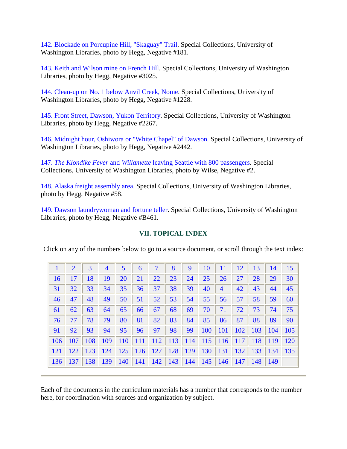142. Blockade on Porcupine Hill, "Skaguay" Trail. Special Collections, University of Washington Libraries, photo by Hegg, Negative #181.

143. Keith and Wilson mine on French Hill. Special Collections, University of Washington Libraries, photo by Hegg, Negative #3025.

144. Clean-up on No. 1 below Anvil Creek, Nome. Special Collections, University of Washington Libraries, photo by Hegg, Negative #1228.

145. Front Street, Dawson, Yukon Territory. Special Collections, University of Washington Libraries, photo by Hegg, Negative #2267.

146. Midnight hour, Oshiwora or "White Chapel" of Dawson. Special Collections, University of Washington Libraries, photo by Hegg, Negative #2442.

147. *The Klondike Fever* and *Willamette* leaving Seattle with 800 passengers. Special Collections, University of Washington Libraries, photo by Wilse, Negative #2.

148. Alaska freight assembly area. Special Collections, University of Washington Libraries, photo by Hegg, Negative #58.

149. Dawson laundrywoman and fortune teller. Special Collections, University of Washington Libraries, photo by Hegg, Negative #B461.

### **VII. TOPICAL INDEX**

Click on any of the numbers below to go to a source document, or scroll through the text index:

|                | $\overline{2}$ | 3          | 4   | 5          | 6          | 7          | 8   | 9   | 10         | 11         | 12         | 13  | 14  | 15  |
|----------------|----------------|------------|-----|------------|------------|------------|-----|-----|------------|------------|------------|-----|-----|-----|
| 16             | 17             | 18         | 19  | 20         | 21         | 22         | 23  | 24  | 25         | 26         | 27         | 28  | 29  | 30  |
| 31             | 32             | 33         | 34  | 35         | 36         | 37         | 38  | 39  | 40         | 41         | 42         | 43  | 44  | 45  |
| 46             | 47             | 48         | 49  | 50         | 51         | 52         | 53  | 54  | 55         | 56         | 57         | 58  | 59  | 60  |
| 61             | 62             | 63         | 64  | 65         | 66         | 67         | 68  | 69  | 70         | 71         | 72         | 73  | 74  | 75  |
| 76             | 77             | 78         | 79  | 80         | 81         | 82         | 83  | 84  | 85         | 86         | 87         | 88  | 89  | 90  |
| 91             | 92             | 93         | 94  | 95         | 96         | 97         | 98  | 99  | <b>100</b> | <b>101</b> | 102        | 103 | 104 | 105 |
| <b>106</b>     | 107            | 108        | 109 | <b>110</b> | <b>111</b> | <b>112</b> | 113 | 114 | 115        | 116        | <b>117</b> | 118 | 119 | 120 |
| <sup>121</sup> | 122            | <b>123</b> | 124 | 125        | 126        | 127        | 128 | 129 | 130        | 131        | 132        | 133 | 134 | 135 |
| 136            | 137            | 138        | 139 | 140        | 141        | 142        | 143 | 144 | 145        | 146        | 147        | 148 | 149 |     |

Each of the documents in the curriculum materials has a number that corresponds to the number here, for coordination with sources and organization by subject.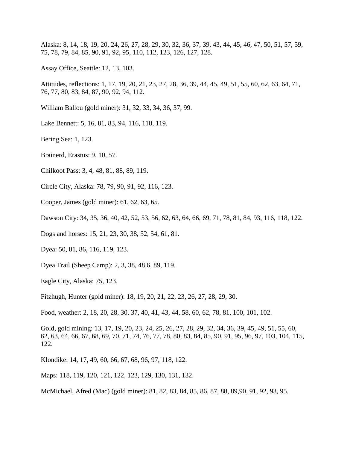Alaska: 8, 14, 18, 19, 20, 24, 26, 27, 28, 29, 30, 32, 36, 37, 39, 43, 44, 45, 46, 47, 50, 51, 57, 59, 75, 78, 79, 84, 85, 90, 91, 92, 95, 110, 112, 123, 126, 127, 128.

Assay Office, Seattle: 12, 13, 103.

Attitudes, reflections: 1, 17, 19, 20, 21, 23, 27, 28, 36, 39, 44, 45, 49, 51, 55, 60, 62, 63, 64, 71, 76, 77, 80, 83, 84, 87, 90, 92, 94, 112.

William Ballou (gold miner): 31, 32, 33, 34, 36, 37, 99.

Lake Bennett: 5, 16, 81, 83, 94, 116, 118, 119.

Bering Sea: 1, 123.

Brainerd, Erastus: 9, 10, 57.

Chilkoot Pass: 3, 4, 48, 81, 88, 89, 119.

Circle City, Alaska: 78, 79, 90, 91, 92, 116, 123.

Cooper, James (gold miner): 61, 62, 63, 65.

Dawson City: 34, 35, 36, 40, 42, 52, 53, 56, 62, 63, 64, 66, 69, 71, 78, 81, 84, 93, 116, 118, 122.

Dogs and horses: 15, 21, 23, 30, 38, 52, 54, 61, 81.

Dyea: 50, 81, 86, 116, 119, 123.

Dyea Trail (Sheep Camp): 2, 3, 38, 48,6, 89, 119.

Eagle City, Alaska: 75, 123.

Fitzhugh, Hunter (gold miner): 18, 19, 20, 21, 22, 23, 26, 27, 28, 29, 30.

Food, weather: 2, 18, 20, 28, 30, 37, 40, 41, 43, 44, 58, 60, 62, 78, 81, 100, 101, 102.

Gold, gold mining: 13, 17, 19, 20, 23, 24, 25, 26, 27, 28, 29, 32, 34, 36, 39, 45, 49, 51, 55, 60, 62, 63, 64, 66, 67, 68, 69, 70, 71, 74, 76, 77, 78, 80, 83, 84, 85, 90, 91, 95, 96, 97, 103, 104, 115, 122.

Klondike: 14, 17, 49, 60, 66, 67, 68, 96, 97, 118, 122.

Maps: 118, 119, 120, 121, 122, 123, 129, 130, 131, 132.

McMichael, Afred (Mac) (gold miner): 81, 82, 83, 84, 85, 86, 87, 88, 89,90, 91, 92, 93, 95.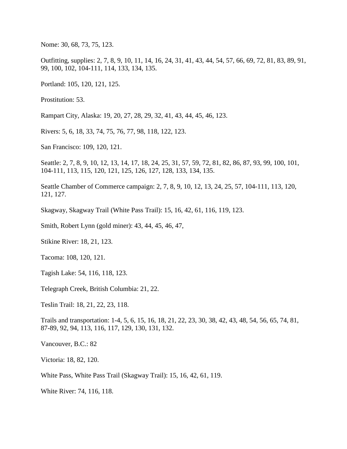Nome: 30, 68, 73, 75, 123.

Outfitting, supplies: 2, 7, 8, 9, 10, 11, 14, 16, 24, 31, 41, 43, 44, 54, 57, 66, 69, 72, 81, 83, 89, 91, 99, 100, 102, 104-111, 114, 133, 134, 135.

Portland: 105, 120, 121, 125.

Prostitution: 53.

Rampart City, Alaska: 19, 20, 27, 28, 29, 32, 41, 43, 44, 45, 46, 123.

Rivers: 5, 6, 18, 33, 74, 75, 76, 77, 98, 118, 122, 123.

San Francisco: 109, 120, 121.

Seattle: 2, 7, 8, 9, 10, 12, 13, 14, 17, 18, 24, 25, 31, 57, 59, 72, 81, 82, 86, 87, 93, 99, 100, 101, 104-111, 113, 115, 120, 121, 125, 126, 127, 128, 133, 134, 135.

Seattle Chamber of Commerce campaign: 2, 7, 8, 9, 10, 12, 13, 24, 25, 57, 104-111, 113, 120, 121, 127.

Skagway, Skagway Trail (White Pass Trail): 15, 16, 42, 61, 116, 119, 123.

Smith, Robert Lynn (gold miner): 43, 44, 45, 46, 47,

Stikine River: 18, 21, 123.

Tacoma: 108, 120, 121.

Tagish Lake: 54, 116, 118, 123.

Telegraph Creek, British Columbia: 21, 22.

Teslin Trail: 18, 21, 22, 23, 118.

Trails and transportation: 1-4, 5, 6, 15, 16, 18, 21, 22, 23, 30, 38, 42, 43, 48, 54, 56, 65, 74, 81, 87-89, 92, 94, 113, 116, 117, 129, 130, 131, 132.

Vancouver, B.C.: 82

Victoria: 18, 82, 120.

White Pass, White Pass Trail (Skagway Trail): 15, 16, 42, 61, 119.

White River: 74, 116, 118.